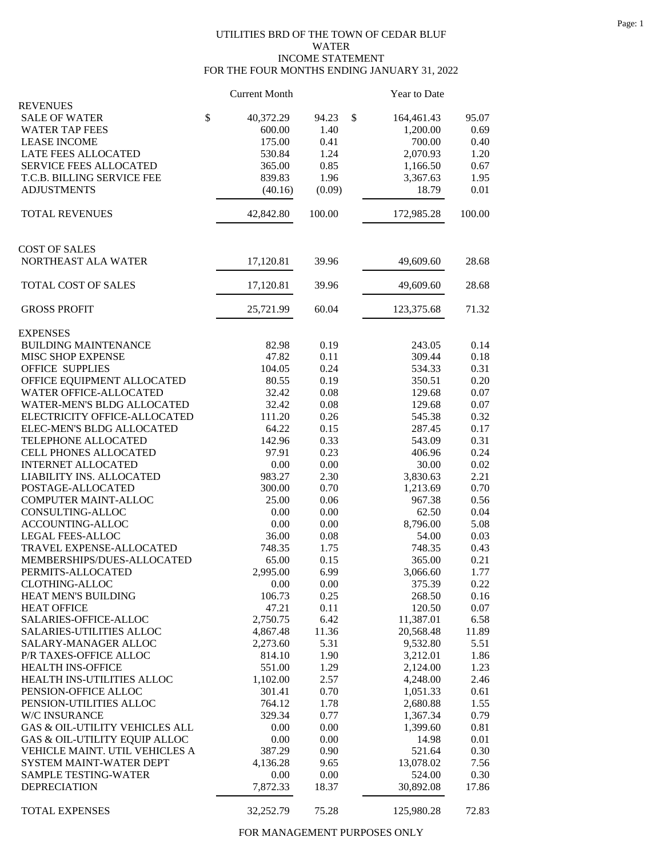## UTILITIES BRD OF THE TOWN OF CEDAR BLUF WATER INCOME STATEMENT FOR THE FOUR MONTHS ENDING JANUARY 31, 2022

|                                         | <b>Current Month</b> |        | Year to Date           |        |
|-----------------------------------------|----------------------|--------|------------------------|--------|
| <b>REVENUES</b><br><b>SALE OF WATER</b> | \$<br>40,372.29      | 94.23  | \$                     | 95.07  |
| <b>WATER TAP FEES</b>                   | 600.00               | 1.40   | 164,461.43<br>1,200.00 | 0.69   |
| <b>LEASE INCOME</b>                     | 175.00               | 0.41   | 700.00                 | 0.40   |
| <b>LATE FEES ALLOCATED</b>              | 530.84               | 1.24   | 2,070.93               | 1.20   |
| <b>SERVICE FEES ALLOCATED</b>           | 365.00               | 0.85   |                        | 0.67   |
|                                         |                      |        | 1,166.50               |        |
| T.C.B. BILLING SERVICE FEE              | 839.83               | 1.96   | 3,367.63               | 1.95   |
| <b>ADJUSTMENTS</b>                      | (40.16)              | (0.09) | 18.79                  | 0.01   |
| <b>TOTAL REVENUES</b>                   | 42,842.80            | 100.00 | 172,985.28             | 100.00 |
| <b>COST OF SALES</b>                    |                      |        |                        |        |
| NORTHEAST ALA WATER                     | 17,120.81            | 39.96  | 49,609.60              | 28.68  |
| TOTAL COST OF SALES                     | 17,120.81            | 39.96  | 49,609.60              | 28.68  |
|                                         |                      |        |                        |        |
| <b>GROSS PROFIT</b>                     | 25,721.99            | 60.04  | 123,375.68             | 71.32  |
| <b>EXPENSES</b>                         |                      |        |                        |        |
| <b>BUILDING MAINTENANCE</b>             | 82.98                | 0.19   | 243.05                 | 0.14   |
| MISC SHOP EXPENSE                       | 47.82                | 0.11   | 309.44                 | 0.18   |
| <b>OFFICE SUPPLIES</b>                  | 104.05               | 0.24   | 534.33                 | 0.31   |
| OFFICE EQUIPMENT ALLOCATED              | 80.55                | 0.19   | 350.51                 | 0.20   |
| WATER OFFICE-ALLOCATED                  | 32.42                | 0.08   | 129.68                 | 0.07   |
| WATER-MEN'S BLDG ALLOCATED              | 32.42                | 0.08   | 129.68                 | 0.07   |
| ELECTRICITY OFFICE-ALLOCATED            | 111.20               | 0.26   | 545.38                 | 0.32   |
| ELEC-MEN'S BLDG ALLOCATED               | 64.22                | 0.15   | 287.45                 | 0.17   |
| TELEPHONE ALLOCATED                     | 142.96               | 0.33   | 543.09                 | 0.31   |
| CELL PHONES ALLOCATED                   | 97.91                | 0.23   | 406.96                 | 0.24   |
| <b>INTERNET ALLOCATED</b>               | 0.00                 | 0.00   | 30.00                  | 0.02   |
| LIABILITY INS. ALLOCATED                | 983.27               | 2.30   | 3,830.63               | 2.21   |
| POSTAGE-ALLOCATED                       | 300.00               | 0.70   | 1,213.69               | 0.70   |
| COMPUTER MAINT-ALLOC                    | 25.00                | 0.06   | 967.38                 | 0.56   |
| CONSULTING-ALLOC                        | 0.00                 | 0.00   | 62.50                  | 0.04   |
| ACCOUNTING-ALLOC                        | 0.00                 | 0.00   | 8,796.00               | 5.08   |
| LEGAL FEES-ALLOC                        | 36.00                | 0.08   | 54.00                  | 0.03   |
| TRAVEL EXPENSE-ALLOCATED                | 748.35               | 1.75   | 748.35                 | 0.43   |
| MEMBERSHIPS/DUES-ALLOCATED              | 65.00                | 0.15   | 365.00                 | 0.21   |
| PERMITS-ALLOCATED                       |                      | 6.99   |                        | 1.77   |
|                                         | 2,995.00             |        | 3,066.60               |        |
| <b>CLOTHING-ALLOC</b>                   | 0.00                 | 0.00   | 375.39                 | 0.22   |
| HEAT MEN'S BUILDING                     | 106.73               | 0.25   | 268.50                 | 0.16   |
| <b>HEAT OFFICE</b>                      | 47.21                | 0.11   | 120.50                 | 0.07   |
| SALARIES-OFFICE-ALLOC                   | 2,750.75             | 6.42   | 11,387.01              | 6.58   |
| <b>SALARIES-UTILITIES ALLOC</b>         | 4,867.48             | 11.36  | 20,568.48              | 11.89  |
| SALARY-MANAGER ALLOC                    | 2,273.60             | 5.31   | 9,532.80               | 5.51   |
| P/R TAXES-OFFICE ALLOC                  | 814.10               | 1.90   | 3,212.01               | 1.86   |
| HEALTH INS-OFFICE                       | 551.00               | 1.29   | 2,124.00               | 1.23   |
| HEALTH INS-UTILITIES ALLOC              | 1,102.00             | 2.57   | 4,248.00               | 2.46   |
| PENSION-OFFICE ALLOC                    | 301.41               | 0.70   | 1,051.33               | 0.61   |
| PENSION-UTILITIES ALLOC                 | 764.12               | 1.78   | 2,680.88               | 1.55   |
| W/C INSURANCE                           | 329.34               | 0.77   | 1,367.34               | 0.79   |
| GAS & OIL-UTILITY VEHICLES ALL          | 0.00                 | 0.00   | 1,399.60               | 0.81   |
| GAS & OIL-UTILITY EQUIP ALLOC           | 0.00                 | 0.00   | 14.98                  | 0.01   |
| VEHICLE MAINT. UTIL VEHICLES A          | 387.29               | 0.90   | 521.64                 | 0.30   |
| SYSTEM MAINT-WATER DEPT                 | 4,136.28             | 9.65   | 13,078.02              | 7.56   |
| SAMPLE TESTING-WATER                    | 0.00                 | 0.00   | 524.00                 | 0.30   |
| <b>DEPRECIATION</b>                     | 7,872.33             | 18.37  | 30,892.08              | 17.86  |
| TOTAL EXPENSES                          | 32,252.79            | 75.28  | 125,980.28             | 72.83  |